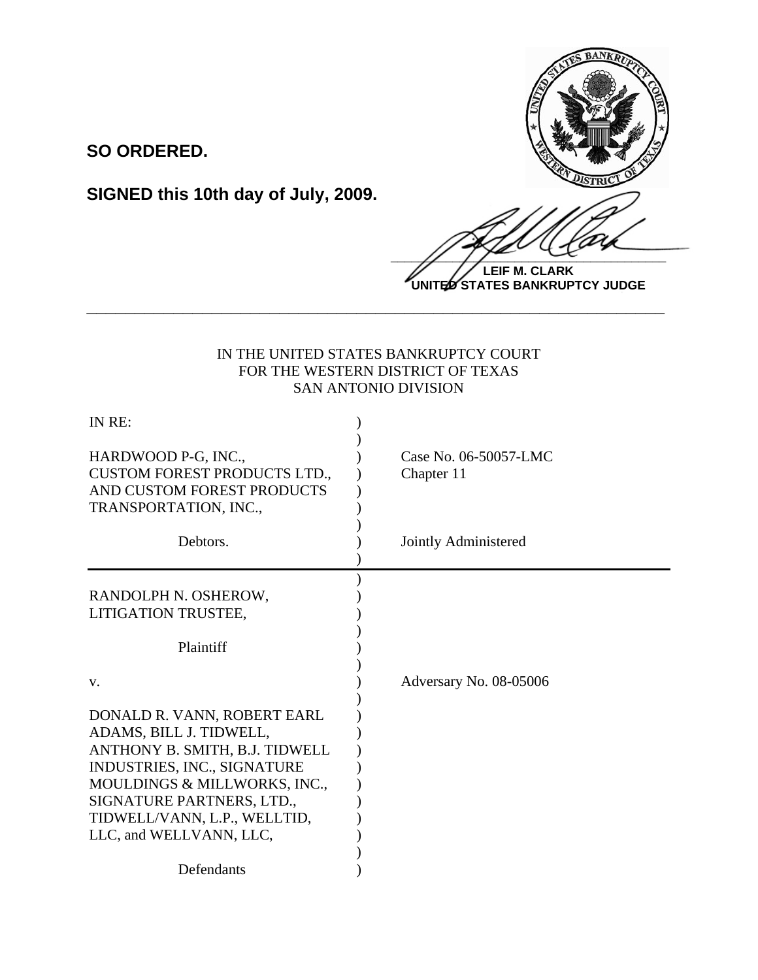

**LEIF M. CLARK UNITED STATES BANKRUPTCY JUDGE**

# IN THE UNITED STATES BANKRUPTCY COURT FOR THE WESTERN DISTRICT OF TEXAS SAN ANTONIO DIVISION

**\_\_\_\_\_\_\_\_\_\_\_\_\_\_\_\_\_\_\_\_\_\_\_\_\_\_\_\_\_\_\_\_\_\_\_\_\_\_\_\_\_\_\_\_\_\_\_\_\_\_\_\_\_\_\_\_\_\_\_\_**

| IN RE:                                                                                                                                                                                                                                          |                                     |
|-------------------------------------------------------------------------------------------------------------------------------------------------------------------------------------------------------------------------------------------------|-------------------------------------|
| HARDWOOD P-G, INC.,<br><b>CUSTOM FOREST PRODUCTS LTD.,</b><br>AND CUSTOM FOREST PRODUCTS<br>TRANSPORTATION, INC.,                                                                                                                               | Case No. 06-50057-LMC<br>Chapter 11 |
| Debtors.                                                                                                                                                                                                                                        | Jointly Administered                |
| RANDOLPH N. OSHEROW,<br>LITIGATION TRUSTEE,                                                                                                                                                                                                     |                                     |
| Plaintiff                                                                                                                                                                                                                                       |                                     |
| V.                                                                                                                                                                                                                                              | Adversary No. 08-05006              |
| DONALD R. VANN, ROBERT EARL<br>ADAMS, BILL J. TIDWELL,<br>ANTHONY B. SMITH, B.J. TIDWELL<br>INDUSTRIES, INC., SIGNATURE<br>MOULDINGS & MILLWORKS, INC.,<br>SIGNATURE PARTNERS, LTD.,<br>TIDWELL/VANN, L.P., WELLTID,<br>LLC, and WELLVANN, LLC, |                                     |
| Defendants                                                                                                                                                                                                                                      |                                     |

**SIGNED this 10th day of July, 2009.**

**SO ORDERED.**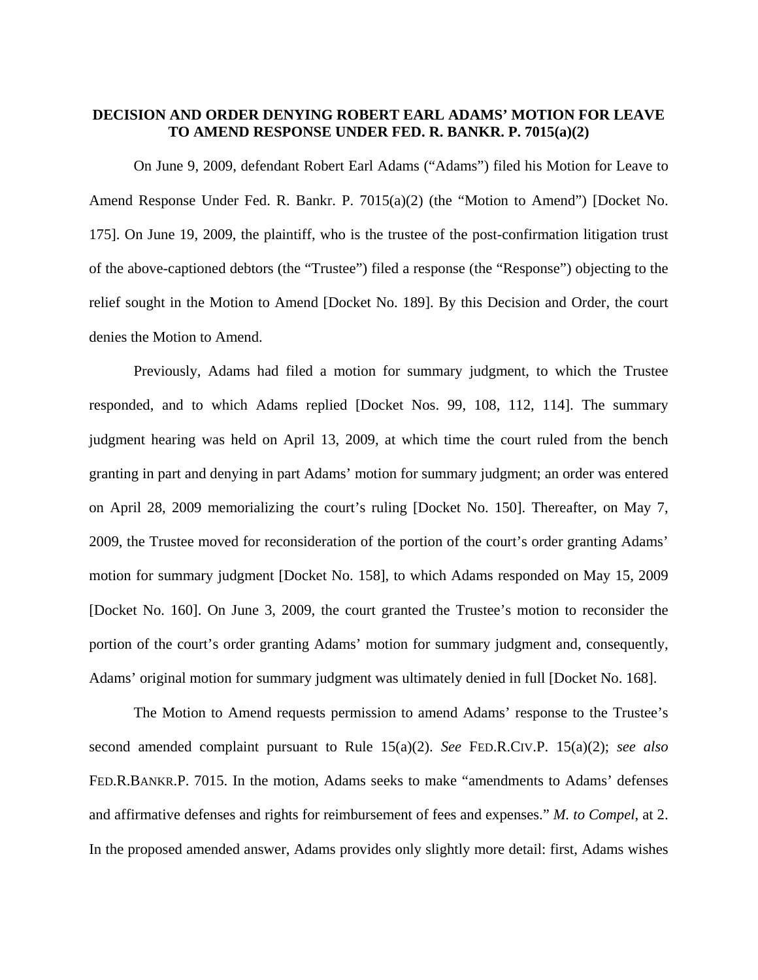## **DECISION AND ORDER DENYING ROBERT EARL ADAMS' MOTION FOR LEAVE TO AMEND RESPONSE UNDER FED. R. BANKR. P. 7015(a)(2)**

 On June 9, 2009, defendant Robert Earl Adams ("Adams") filed his Motion for Leave to Amend Response Under Fed. R. Bankr. P. 7015(a)(2) (the "Motion to Amend") [Docket No. 175]. On June 19, 2009, the plaintiff, who is the trustee of the post-confirmation litigation trust of the above-captioned debtors (the "Trustee") filed a response (the "Response") objecting to the relief sought in the Motion to Amend [Docket No. 189]. By this Decision and Order, the court denies the Motion to Amend.

Previously, Adams had filed a motion for summary judgment, to which the Trustee responded, and to which Adams replied [Docket Nos. 99, 108, 112, 114]. The summary judgment hearing was held on April 13, 2009, at which time the court ruled from the bench granting in part and denying in part Adams' motion for summary judgment; an order was entered on April 28, 2009 memorializing the court's ruling [Docket No. 150]. Thereafter, on May 7, 2009, the Trustee moved for reconsideration of the portion of the court's order granting Adams' motion for summary judgment [Docket No. 158], to which Adams responded on May 15, 2009 [Docket No. 160]. On June 3, 2009, the court granted the Trustee's motion to reconsider the portion of the court's order granting Adams' motion for summary judgment and, consequently, Adams' original motion for summary judgment was ultimately denied in full [Docket No. 168].

 The Motion to Amend requests permission to amend Adams' response to the Trustee's second amended complaint pursuant to Rule 15(a)(2). *See* FED.R.CIV.P. 15(a)(2); *see also*  FED.R.BANKR.P. 7015. In the motion, Adams seeks to make "amendments to Adams' defenses and affirmative defenses and rights for reimbursement of fees and expenses." *M. to Compel*, at 2. In the proposed amended answer, Adams provides only slightly more detail: first, Adams wishes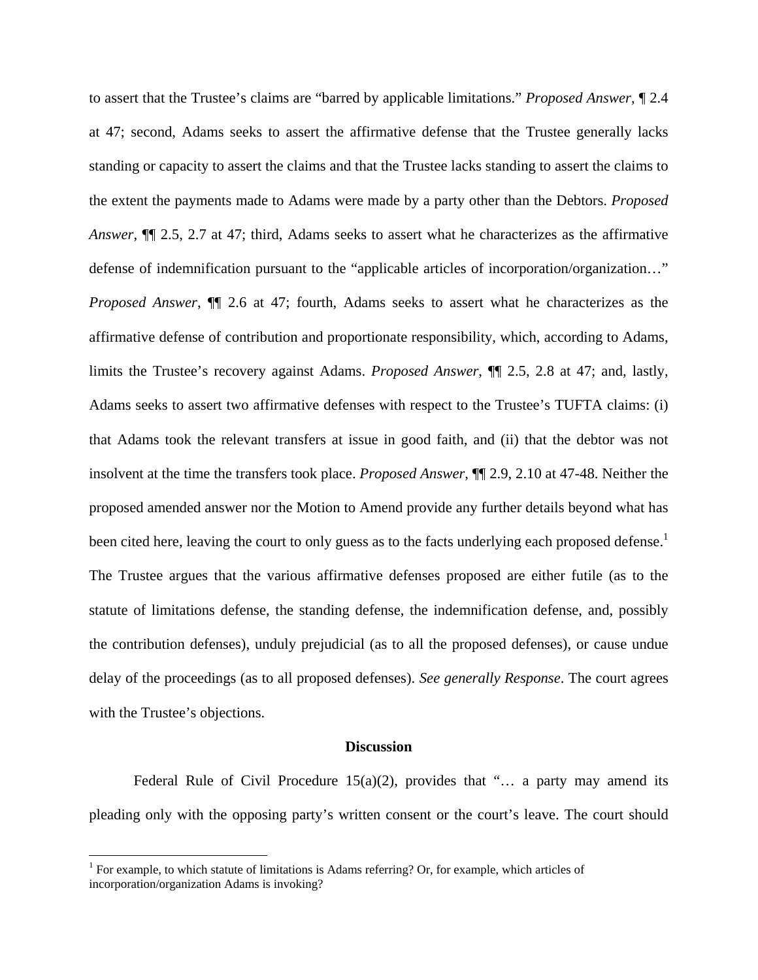to assert that the Trustee's claims are "barred by applicable limitations." *Proposed Answer*, ¶ 2.4 at 47; second, Adams seeks to assert the affirmative defense that the Trustee generally lacks standing or capacity to assert the claims and that the Trustee lacks standing to assert the claims to the extent the payments made to Adams were made by a party other than the Debtors. *Proposed Answer*, ¶¶ 2.5, 2.7 at 47; third, Adams seeks to assert what he characterizes as the affirmative defense of indemnification pursuant to the "applicable articles of incorporation/organization…" *Proposed Answer*, ¶¶ 2.6 at 47; fourth, Adams seeks to assert what he characterizes as the affirmative defense of contribution and proportionate responsibility, which, according to Adams, limits the Trustee's recovery against Adams. *Proposed Answer*, ¶¶ 2.5, 2.8 at 47; and, lastly, Adams seeks to assert two affirmative defenses with respect to the Trustee's TUFTA claims: (i) that Adams took the relevant transfers at issue in good faith, and (ii) that the debtor was not insolvent at the time the transfers took place. *Proposed Answer*, ¶¶ 2.9, 2.10 at 47-48. Neither the proposed amended answer nor the Motion to Amend provide any further details beyond what has been cited here, leaving the court to only guess as to the facts underlying each proposed defense.<sup>1</sup> The Trustee argues that the various affirmative defenses proposed are either futile (as to the statute of limitations defense, the standing defense, the indemnification defense, and, possibly the contribution defenses), unduly prejudicial (as to all the proposed defenses), or cause undue delay of the proceedings (as to all proposed defenses). *See generally Response*. The court agrees with the Trustee's objections.

#### **Discussion**

Federal Rule of Civil Procedure  $15(a)(2)$ , provides that "... a party may amend its pleading only with the opposing party's written consent or the court's leave. The court should

1

<sup>&</sup>lt;sup>1</sup> For example, to which statute of limitations is Adams referring? Or, for example, which articles of incorporation/organization Adams is invoking?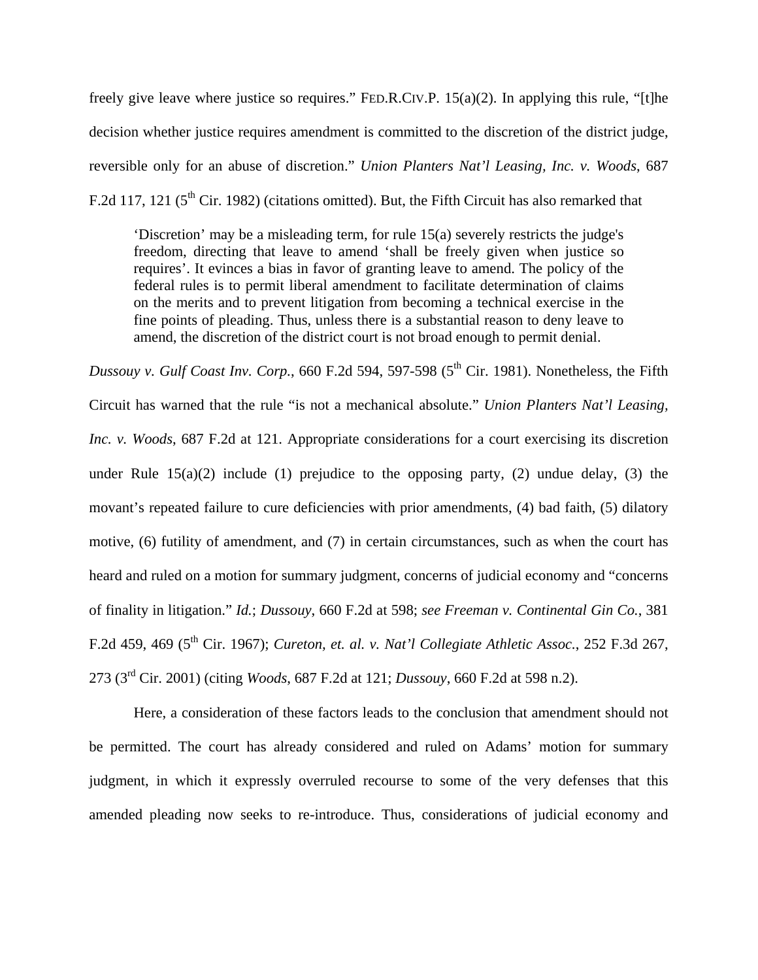freely give leave where justice so requires." FED.R.CIV.P. 15(a)(2). In applying this rule, "[t]he decision whether justice requires amendment is committed to the discretion of the district judge, reversible only for an abuse of discretion." *Union Planters Nat'l Leasing, Inc. v. Woods*, 687 F.2d 117, 121 ( $5<sup>th</sup>$  Cir. 1982) (citations omitted). But, the Fifth Circuit has also remarked that

'Discretion' may be a misleading term, for rule 15(a) severely restricts the judge's freedom, directing that leave to amend 'shall be freely given when justice so requires'. It evinces a bias in favor of granting leave to amend. The policy of the federal rules is to permit liberal amendment to facilitate determination of claims on the merits and to prevent litigation from becoming a technical exercise in the fine points of pleading. Thus, unless there is a substantial reason to deny leave to amend, the discretion of the district court is not broad enough to permit denial.

*Dussouy v. Gulf Coast Inv. Corp.*, 660 F.2d 594, 597-598 ( $5<sup>th</sup>$  Cir. 1981). Nonetheless, the Fifth Circuit has warned that the rule "is not a mechanical absolute." *Union Planters Nat'l Leasing, Inc. v. Woods*, 687 F.2d at 121. Appropriate considerations for a court exercising its discretion under Rule  $15(a)(2)$  include (1) prejudice to the opposing party, (2) undue delay, (3) the movant's repeated failure to cure deficiencies with prior amendments, (4) bad faith, (5) dilatory motive, (6) futility of amendment, and (7) in certain circumstances, such as when the court has heard and ruled on a motion for summary judgment, concerns of judicial economy and "concerns of finality in litigation." *Id.*; *Dussouy*, 660 F.2d at 598; *see Freeman v. Continental Gin Co.*, 381 F.2d 459, 469 (5th Cir. 1967); *Cureton, et. al. v. Nat'l Collegiate Athletic Assoc.*, 252 F.3d 267, 273 (3rd Cir. 2001) (citing *Woods*, 687 F.2d at 121; *Dussouy*, 660 F.2d at 598 n.2).

Here, a consideration of these factors leads to the conclusion that amendment should not be permitted. The court has already considered and ruled on Adams' motion for summary judgment, in which it expressly overruled recourse to some of the very defenses that this amended pleading now seeks to re-introduce. Thus, considerations of judicial economy and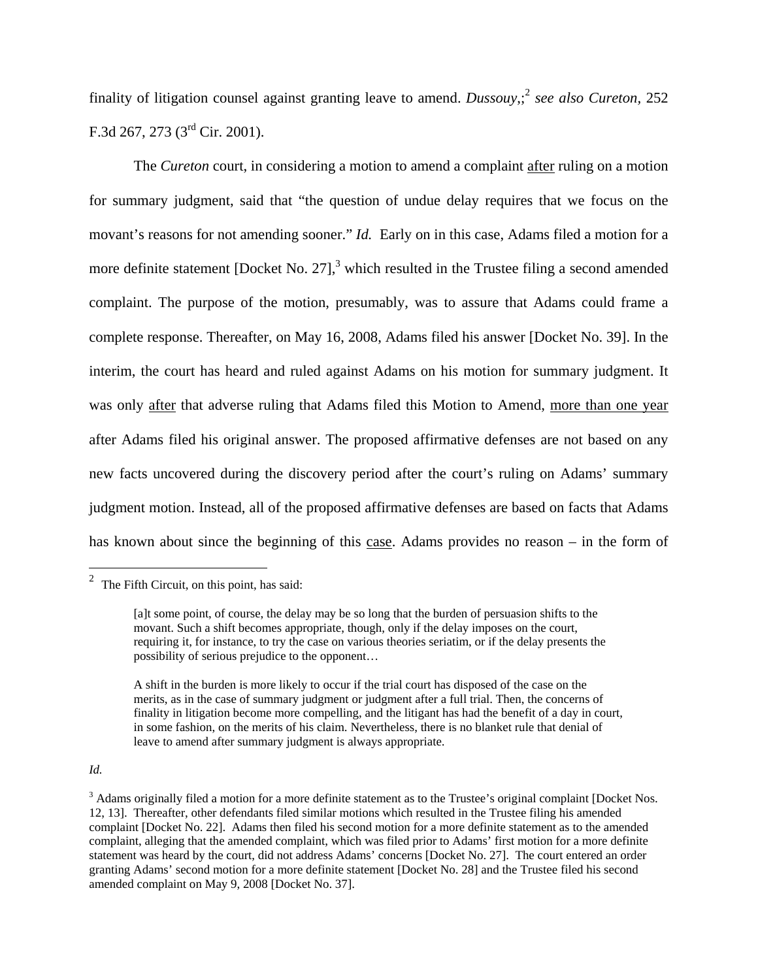finality of litigation counsel against granting leave to amend. *Dussouy*,; <sup>2</sup> *see also Cureton,* 252 F.3d 267, 273 (3rd Cir. 2001).

The *Cureton* court, in considering a motion to amend a complaint after ruling on a motion for summary judgment, said that "the question of undue delay requires that we focus on the movant's reasons for not amending sooner." *Id.* Early on in this case, Adams filed a motion for a more definite statement [Docket No. 27], $3$  which resulted in the Trustee filing a second amended complaint. The purpose of the motion, presumably, was to assure that Adams could frame a complete response. Thereafter, on May 16, 2008, Adams filed his answer [Docket No. 39]. In the interim, the court has heard and ruled against Adams on his motion for summary judgment. It was only after that adverse ruling that Adams filed this Motion to Amend, more than one year after Adams filed his original answer. The proposed affirmative defenses are not based on any new facts uncovered during the discovery period after the court's ruling on Adams' summary judgment motion. Instead, all of the proposed affirmative defenses are based on facts that Adams has known about since the beginning of this case. Adams provides no reason – in the form of

### *Id.*

<sup>&</sup>lt;sup>2</sup> The Fifth Circuit, on this point, has said:

<sup>[</sup>a]t some point, of course, the delay may be so long that the burden of persuasion shifts to the movant. Such a shift becomes appropriate, though, only if the delay imposes on the court, requiring it, for instance, to try the case on various theories seriatim, or if the delay presents the possibility of serious prejudice to the opponent…

A shift in the burden is more likely to occur if the trial court has disposed of the case on the merits, as in the case of summary judgment or judgment after a full trial. Then, the concerns of finality in litigation become more compelling, and the litigant has had the benefit of a day in court, in some fashion, on the merits of his claim. Nevertheless, there is no blanket rule that denial of leave to amend after summary judgment is always appropriate.

 $3$  Adams originally filed a motion for a more definite statement as to the Trustee's original complaint [Docket Nos. 12, 13]. Thereafter, other defendants filed similar motions which resulted in the Trustee filing his amended complaint [Docket No. 22]. Adams then filed his second motion for a more definite statement as to the amended complaint, alleging that the amended complaint, which was filed prior to Adams' first motion for a more definite statement was heard by the court, did not address Adams' concerns [Docket No. 27]. The court entered an order granting Adams' second motion for a more definite statement [Docket No. 28] and the Trustee filed his second amended complaint on May 9, 2008 [Docket No. 37].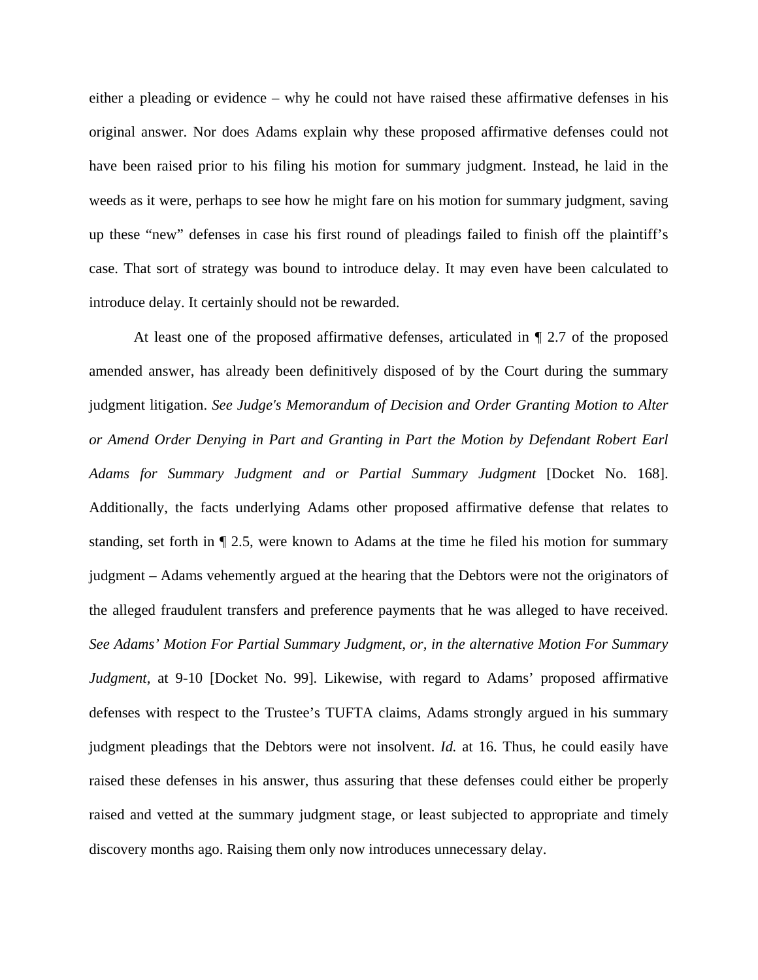either a pleading or evidence – why he could not have raised these affirmative defenses in his original answer. Nor does Adams explain why these proposed affirmative defenses could not have been raised prior to his filing his motion for summary judgment. Instead, he laid in the weeds as it were, perhaps to see how he might fare on his motion for summary judgment, saving up these "new" defenses in case his first round of pleadings failed to finish off the plaintiff's case. That sort of strategy was bound to introduce delay. It may even have been calculated to introduce delay. It certainly should not be rewarded.

At least one of the proposed affirmative defenses, articulated in ¶ 2.7 of the proposed amended answer, has already been definitively disposed of by the Court during the summary judgment litigation. *See Judge's Memorandum of Decision and Order Granting Motion to Alter or Amend Order Denying in Part and Granting in Part the Motion by Defendant Robert Earl Adams for Summary Judgment and or Partial Summary Judgment* [Docket No. 168]. Additionally, the facts underlying Adams other proposed affirmative defense that relates to standing, set forth in ¶ 2.5, were known to Adams at the time he filed his motion for summary judgment – Adams vehemently argued at the hearing that the Debtors were not the originators of the alleged fraudulent transfers and preference payments that he was alleged to have received. *See Adams' Motion For Partial Summary Judgment, or, in the alternative Motion For Summary Judgment*, at 9-10 [Docket No. 99]. Likewise, with regard to Adams' proposed affirmative defenses with respect to the Trustee's TUFTA claims, Adams strongly argued in his summary judgment pleadings that the Debtors were not insolvent. *Id.* at 16. Thus, he could easily have raised these defenses in his answer, thus assuring that these defenses could either be properly raised and vetted at the summary judgment stage, or least subjected to appropriate and timely discovery months ago. Raising them only now introduces unnecessary delay.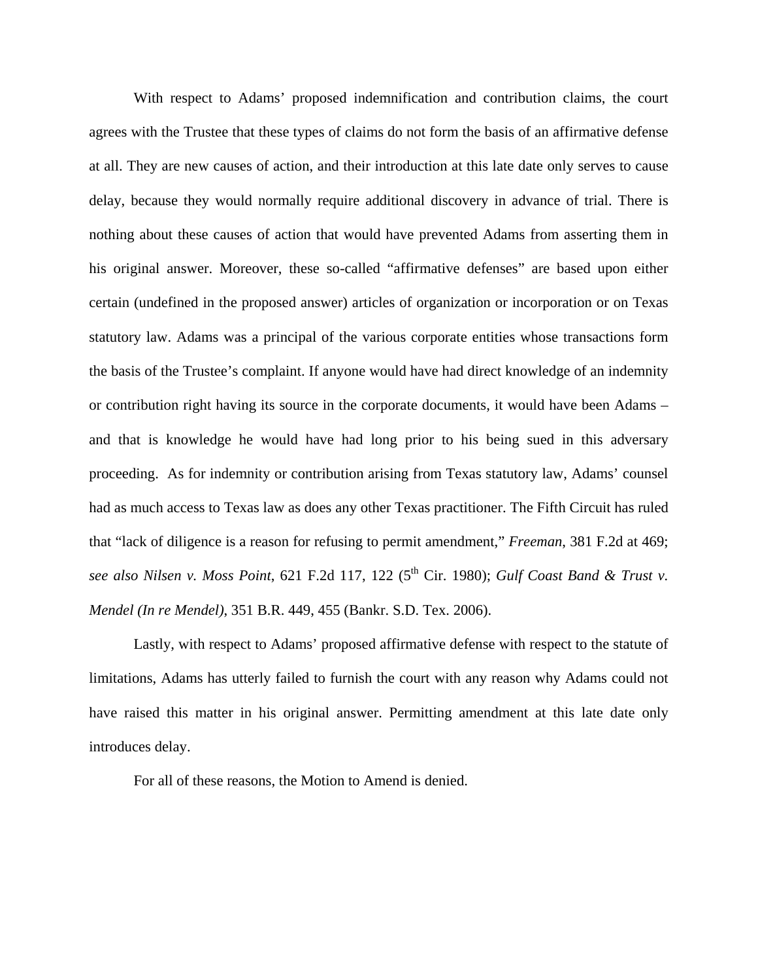With respect to Adams' proposed indemnification and contribution claims, the court agrees with the Trustee that these types of claims do not form the basis of an affirmative defense at all. They are new causes of action, and their introduction at this late date only serves to cause delay, because they would normally require additional discovery in advance of trial. There is nothing about these causes of action that would have prevented Adams from asserting them in his original answer. Moreover, these so-called "affirmative defenses" are based upon either certain (undefined in the proposed answer) articles of organization or incorporation or on Texas statutory law. Adams was a principal of the various corporate entities whose transactions form the basis of the Trustee's complaint. If anyone would have had direct knowledge of an indemnity or contribution right having its source in the corporate documents, it would have been Adams – and that is knowledge he would have had long prior to his being sued in this adversary proceeding. As for indemnity or contribution arising from Texas statutory law, Adams' counsel had as much access to Texas law as does any other Texas practitioner. The Fifth Circuit has ruled that "lack of diligence is a reason for refusing to permit amendment," *Freeman*, 381 F.2d at 469; *see also Nilsen v. Moss Point*, 621 F.2d 117, 122 (5th Cir. 1980); *Gulf Coast Band & Trust v. Mendel (In re Mendel)*, 351 B.R. 449, 455 (Bankr. S.D. Tex. 2006).

Lastly, with respect to Adams' proposed affirmative defense with respect to the statute of limitations, Adams has utterly failed to furnish the court with any reason why Adams could not have raised this matter in his original answer. Permitting amendment at this late date only introduces delay.

For all of these reasons, the Motion to Amend is denied.